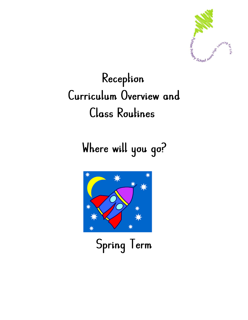

# Reception Curriculum Overview and Class Routines

Where will you go?



Spring Term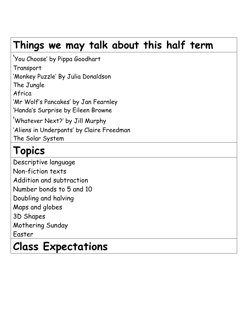## **Things we may talk about this half term**

'You Choose' by Pippa Goodhart **Transport** 'Monkey Puzzle' By Julia Donaldson The Jungle Africa 'Mr Wolf's Pancakes' by Jan Fearnley 'Handa's Surprise by Eileen Browne 'Whatever Next?' by Jill Murphy 'Aliens in Underpants' by Claire Freedman The Solar System

# **Topics**

Descriptive language Non-fiction texts Addition and subtraction Number bonds to 5 and 10 Doubling and halving Maps and globes 3D Shapes Mothering Sunday Easter

# **Class Expectations**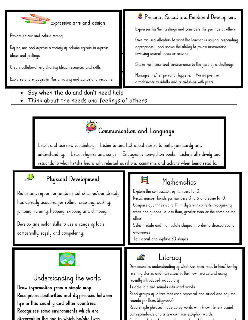

Explore colour and colour mixinq.  $\mathbf{B}$ 

j

Refine, use and express a variety of artistic effects to express ideas and reelings. The south of the turns and resolution of the conversation of the conversation of the conversation.

Create collaboratively sharing ideas, resources and skills.  $\mathbf{r}$  and feeling in appropriate ways in appropriate way suppress the  $\mathbf{r}$ 

- Say when the do and don't need help
- Think about the needs and feelings of others

### <sup>2</sup> Personal, Social and Emotional Development

Expresses his/her reelings and considers the reelings or others.

Give pocused altention to what the teacher is saying, responding appropriately and shows the ability to rollow instructions

Shows resilience and perseverance in the face of a challenge.

Explores and engages in Music making and dance and recounts in the inducements to adults and priendships with peers.<br>attachments to adults and priendships with peers.



Learn and use new vocabulary Listen to and talk about stories to build familiarity and understanding. Learn rhymes and songs Engages in non-fiction books. Listens attentively and responds to what he/she hears with relevant auestions, comments and actions when beina read to.

E

### . O

### Physical Development

Revise and refine the fundamental skills he/she already has already acquired for rolling, crawling, walking, jumping, running, hopping, skipping and climbing.

Develop fine motor skills to use a range of tools competently, safely and competently.

### Mathematics

Explore the composition of numbers to IO. Recall number bonds for numbers 0 to 5 and some to 10. Compare quantities up to 10 in different contexts, recognising when one quantity is less than, greater than or the same as the other.

Select, rotate and manipulate shapes in order to develop spatial awareness

Talk about and explore 3D shapes



### Understanding the world Draw information from a simple map. Recoqnises similarities and differences between life in this country and other countries. Recoqnises some environments which are diccerent to the one in which he/she lives

#### Literacy  $\mathbb{R}$ Demonstrates understanding of what has been read to him/ her by retelling stories and narratives in their own words and using recently introduced vocabulary. Is able to blend sounds into short words Read groups of letters that each represent one sound and say the sounds for them (diqraphs) Read simple phrases made up of words with known letter/ sound

correspondence and a rew common exception words.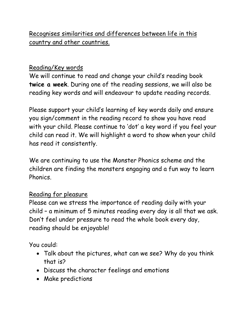### Recognises similarities and differences between life in this country and other countries.

### Reading/Key words

We will continue to read and change your child's reading book **twice a week**. During one of the reading sessions, we will also be reading key words and will endeavour to update reading records.

Please support your child's learning of key words daily and ensure you sign/comment in the reading record to show you have read with your child. Please continue to 'dot' a key word if you feel your child can read it. We will highlight a word to show when your child has read it consistently.

We are continuing to use the Monster Phonics scheme and the children are finding the monsters engaging and a fun way to learn Phonics.

#### Reading for pleasure

Please can we stress the importance of reading daily with your child – a minimum of 5 minutes reading every day is all that we ask. Don't feel under pressure to read the whole book every day, reading should be enjoyable!

You could:

- Talk about the pictures, what can we see? Why do you think that is?
- Discuss the character feelings and emotions
- Make predictions